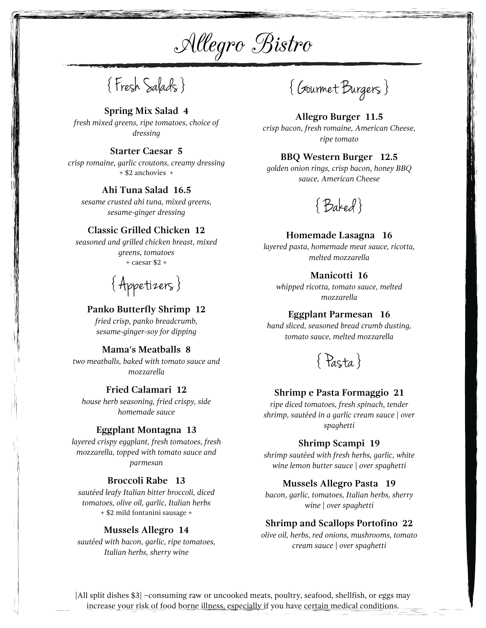Allegro Bistro

{ Fresh Salads }

**Spring Mix Salad 4**

*fresh mixed greens, ripe tomatoes, choice of dressing*

# **Starter Caesar 5**

*crisp romaine, garlic croutons, creamy dressing* + \$2 anchovies +

# **Ahi Tuna Salad 16.5**

*sesame crusted ahi tuna, mixed greens, sesame-ginger dressing*

# **Classic Grilled Chicken 12**

*seasoned and grilled chicken breast, mixed greens, tomatoes* + caesar \$2 +

{ Appetizers }

# **Panko Butterfly Shrimp 12**

*fried crisp, panko breadcrumb, sesame-ginger-soy for dipping*

# **Mama's Meatballs 8**

*two meatballs, baked with tomato sauce and mozzarella*

# **Fried Calamari 12**

*house herb seasoning, fried crispy, side homemade sauce*

## **Eggplant Montagna 13**

*layered crispy eggplant, fresh tomatoes, fresh mozzarella, topped with tomato sauce and parmesan*

# **Broccoli Rabe 13**

*sautéed leafy Italian bitter broccoli, diced tomatoes, olive oil, garlic, Italian herbs* + \$2 mild fontanini sausage +

## **Mussels Allegro 14**

*sautéed with bacon, garlic, ripe tomatoes, Italian herbs, sherry wine*

{ Gourmet Burgers }

# **Allegro Burger 11.5** *crisp bacon, fresh romaine, American Cheese, ripe tomato*

# **BBQ Western Burger 12.5**

*golden onion rings, crisp bacon, honey BBQ sauce, American Cheese*

{ Baked }

## **Homemade Lasagna 16**

*layered pasta, homemade meat sauce, ricotta, melted mozzarella*

# **Manicotti 16**

*whipped ricotta, tomato sauce, melted mozzarella*

## **Eggplant Parmesan 16**

*hand sliced, seasoned bread crumb dusting, tomato sauce, melted mozzarella*

{ Pasta }

## **Shrimp e Pasta Formaggio 21**

*ripe diced tomatoes, fresh spinach, tender shrimp, sautéed in a garlic cream sauce | over spaghetti*

#### **Shrimp Scampi 19**

*shrimp sautéed with fresh herbs, garlic, white wine lemon butter sauce | over spaghetti*

## **Mussels Allegro Pasta 19**

*bacon, garlic, tomatoes, Italian herbs, sherry wine | over spaghetti*

## **Shrimp and Scallops Portofino 22**

*olive oil, herbs, red onions, mushrooms, tomato cream sauce | over spaghetti*

|All split dishes \$3| ~consuming raw or uncooked meats, poultry, seafood, shellfish, or eggs may increase your risk of food borne illness, especially if you have certain medical conditions.